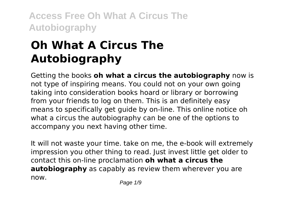# **Oh What A Circus The Autobiography**

Getting the books **oh what a circus the autobiography** now is not type of inspiring means. You could not on your own going taking into consideration books hoard or library or borrowing from your friends to log on them. This is an definitely easy means to specifically get guide by on-line. This online notice oh what a circus the autobiography can be one of the options to accompany you next having other time.

It will not waste your time. take on me, the e-book will extremely impression you other thing to read. Just invest little get older to contact this on-line proclamation **oh what a circus the autobiography** as capably as review them wherever you are now.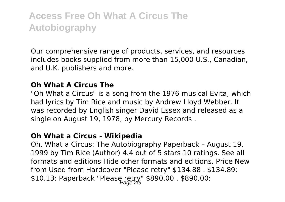Our comprehensive range of products, services, and resources includes books supplied from more than 15,000 U.S., Canadian, and U.K. publishers and more.

### **Oh What A Circus The**

"Oh What a Circus" is a song from the 1976 musical Evita, which had lyrics by Tim Rice and music by Andrew Lloyd Webber. It was recorded by English singer David Essex and released as a single on August 19, 1978, by Mercury Records .

#### **Oh What a Circus - Wikipedia**

Oh, What a Circus: The Autobiography Paperback – August 19, 1999 by Tim Rice (Author) 4.4 out of 5 stars 10 ratings. See all formats and editions Hide other formats and editions. Price New from Used from Hardcover "Please retry" \$134.88 . \$134.89: \$10.13: Paperback "Please retry" \$890.00 . \$890.00: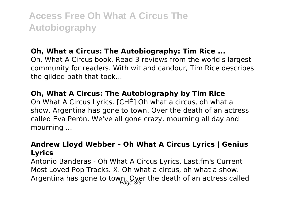### **Oh, What a Circus: The Autobiography: Tim Rice ...**

Oh, What A Circus book. Read 3 reviews from the world's largest community for readers. With wit and candour, Tim Rice describes the gilded path that took...

### **Oh, What A Circus: The Autobiography by Tim Rice**

Oh What A Circus Lyrics. [CHÉ] Oh what a circus, oh what a show. Argentina has gone to town. Over the death of an actress called Eva Perón. We've all gone crazy, mourning all day and mourning ...

### **Andrew Lloyd Webber – Oh What A Circus Lyrics | Genius Lyrics**

Antonio Banderas - Oh What A Circus Lyrics. Last.fm's Current Most Loved Pop Tracks. X. Oh what a circus, oh what a show. Argentina has gone to towp. Over the death of an actress called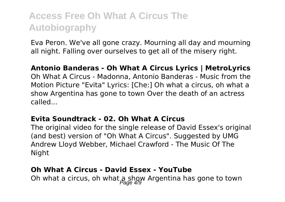Eva Peron. We've all gone crazy. Mourning all day and mourning all night. Falling over ourselves to get all of the misery right.

### **Antonio Banderas - Oh What A Circus Lyrics | MetroLyrics**

Oh What A Circus - Madonna, Antonio Banderas - Music from the Motion Picture "Evita" Lyrics: [Che:] Oh what a circus, oh what a show Argentina has gone to town Over the death of an actress called...

### **Evita Soundtrack - 02. Oh What A Circus**

The original video for the single release of David Essex's original (and best) version of "Oh What A Circus". Suggested by UMG Andrew Lloyd Webber, Michael Crawford - The Music Of The Night

#### **Oh What A Circus - David Essex - YouTube**

Oh what a circus, oh what a show Argentina has gone to town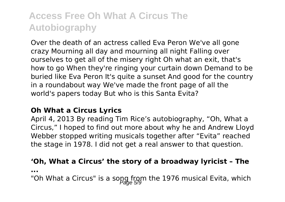Over the death of an actress called Eva Peron We've all gone crazy Mourning all day and mourning all night Falling over ourselves to get all of the misery right Oh what an exit, that's how to go When they're ringing your curtain down Demand to be buried like Eva Peron It's quite a sunset And good for the country in a roundabout way We've made the front page of all the world's papers today But who is this Santa Evita?

### **Oh What a Circus Lyrics**

April 4, 2013 By reading Tim Rice's autobiography, "Oh, What a Circus," I hoped to find out more about why he and Andrew Lloyd Webber stopped writing musicals together after "Evita" reached the stage in 1978. I did not get a real answer to that question.

### **'Oh, What a Circus' the story of a broadway lyricist – The**

**...**

"Oh What a Circus" is a song from the 1976 musical Evita, which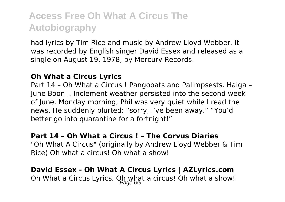had lyrics by Tim Rice and music by Andrew Lloyd Webber. It was recorded by English singer David Essex and released as a single on August 19, 1978, by Mercury Records.

### **Oh What a Circus Lyrics**

Part 14 – Oh What a Circus ! Pangobats and Palimpsests. Haiga – June Boon i. Inclement weather persisted into the second week of June. Monday morning, Phil was very quiet while I read the news. He suddenly blurted: "sorry, I've been away." "You'd better go into quarantine for a fortnight!"

### **Part 14 – Oh What a Circus ! – The Corvus Diaries** "Oh What A Circus" (originally by Andrew Lloyd Webber & Tim Rice) Oh what a circus! Oh what a show!

### **David Essex - Oh What A Circus Lyrics | AZLyrics.com** Oh What a Circus Lyrics. Oh what a circus! Oh what a show!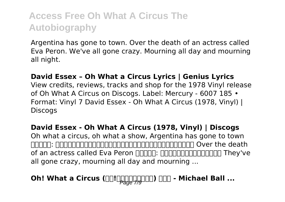Argentina has gone to town. Over the death of an actress called Eva Peron. We've all gone crazy. Mourning all day and mourning all night.

### **David Essex – Oh What a Circus Lyrics | Genius Lyrics**

View credits, reviews, tracks and shop for the 1978 Vinyl release of Oh What A Circus on Discogs. Label: Mercury - 6007 185 • Format: Vinyl 7 David Essex - Oh What A Circus (1978, Vinyl) | **Discogs** 

### **David Essex - Oh What A Circus (1978, Vinyl) | Discogs** Oh what a circus, oh what a show, Argentina has gone to town adda: addoodaadaadaadaaaanaanaanaanaan Over the death of an actress called Eva Peron 歌詞の意味: エバペロンと呼ばれる女優の死を They've all gone crazy, mourning all day and mourning ...

## **Oh! What a Circus (** $\Box$ **!** Page 7,900)  $\Box$  - Michael Ball ...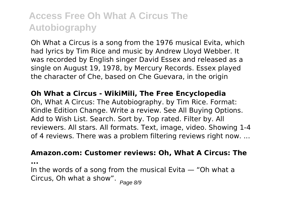Oh What a Circus is a song from the 1976 musical Evita, which had lyrics by Tim Rice and music by Andrew Lloyd Webber. It was recorded by English singer David Essex and released as a single on August 19, 1978, by Mercury Records. Essex played the character of Che, based on Che Guevara, in the origin

#### **Oh What a Circus - WikiMili, The Free Encyclopedia**

Oh, What A Circus: The Autobiography. by Tim Rice. Format: Kindle Edition Change. Write a review. See All Buying Options. Add to Wish List. Search. Sort by. Top rated. Filter by. All reviewers. All stars. All formats. Text, image, video. Showing 1-4 of 4 reviews. There was a problem filtering reviews right now. ...

#### **Amazon.com: Customer reviews: Oh, What A Circus: The**

**...**

In the words of a song from the musical Evita — "Oh what a Circus, Oh what a show".  $P_{\text{age 8/9}}$